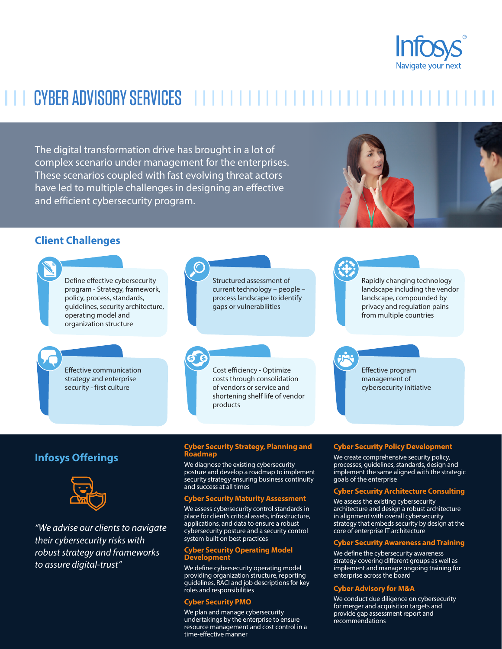

# CYBER ADVISORY SERVICES

The digital transformation drive has brought in a lot of complex scenario under management for the enterprises. These scenarios coupled with fast evolving threat actors have led to multiple challenges in designing an effective and efficient cybersecurity program.



### **Client Challenges**



## **Infosys Offerings**



*"We advise our clients to navigate their cybersecurity risks with robust strategy and frameworks to assure digital-trust"*

#### **Cyber Security Strategy, Planning and Roadmap**

We diagnose the existing cybersecurity posture and develop a roadmap to implement security strategy ensuring business continuity and success at all times

#### **Cyber Security Maturity Assessment**

We assess cybersecurity control standards in place for client's critical assets, infrastructure, applications, and data to ensure a robust cybersecurity posture and a security control system built on best practices

#### **Cyber Security Operating Model Development**

We define cybersecurity operating model providing organization structure, reporting guidelines, RACI and job descriptions for key roles and responsibilities

#### **Cyber Security PMO**

We plan and manage cybersecurity undertakings by the enterprise to ensure resource management and cost control in a time-effective manner

#### **Cyber Security Policy Development**

We create comprehensive security policy, processes, guidelines, standards, design and implement the same aligned with the strategic goals of the enterprise

#### **Cyber Security Architecture Consulting**

We assess the existing cybersecurity architecture and design a robust architecture in alignment with overall cybersecurity strategy that embeds security by design at the core of enterprise IT architecture

#### **Cyber Security Awareness and Training**

We define the cybersecurity awareness strategy covering different groups as well as implement and manage ongoing training for enterprise across the board

#### **Cyber Advisory for M&A**

We conduct due diligence on cybersecurity for merger and acquisition targets and provide gap assessment report and recommendations